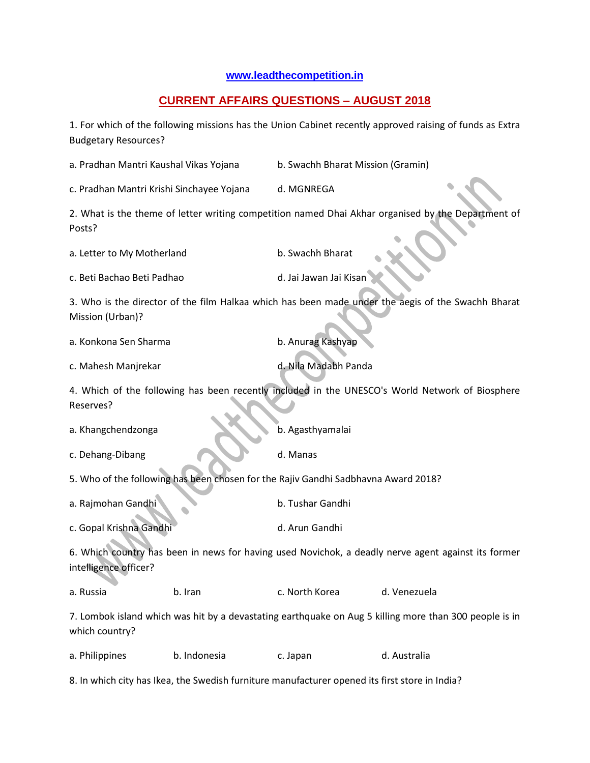## **[www.leadthecompetition.in](http://www.leadthecompetition.in/)**

## **CURRENT AFFAIRS QUESTIONS – AUGUST 2018**

1. For which of the following missions has the Union Cabinet recently approved raising of funds as Extra Budgetary Resources?

a. Pradhan Mantri Kaushal Vikas Yojana b. Swachh Bharat Mission (Gramin) c. Pradhan Mantri Krishi Sinchayee Yojana d. MGNREGA 2. What is the theme of letter writing competition named Dhai Akhar organised by the Department of Posts? a. Letter to My Motherland b. Swachh Bharat c. Beti Bachao Beti Padhao dengan di Jai Jawan Jai Kisan 3. Who is the director of the film Halkaa which has been made under the aegis of the Swachh Bharat Mission (Urban)? a. Konkona Sen Sharma b. Anurag Kashyap c. Mahesh Manjrekar dan di Romania dan di Nila Madabh Panda 4. Which of the following has been recently included in the UNESCO's World Network of Biosphere Reserves? a. Khangchendzonga b. Agasthyamalai c. Dehang-Dibang d. Manas 5. Who of the following has been chosen for the Rajiv Gandhi Sadbhavna Award 2018? a. Rajmohan Gandhi b. Tushar Gandhi c. Gopal Krishna Gandhi d. Arun Gandhi 6. Which country has been in news for having used Novichok, a deadly nerve agent against its former intelligence officer? a. Russia b. Iran c. North Korea d. Venezuela 7. Lombok island which was hit by a devastating earthquake on Aug 5 killing more than 300 people is in which country? a. Philippines b. Indonesia c. Japan d. Australia 8. In which city has Ikea, the Swedish furniture manufacturer opened its first store in India?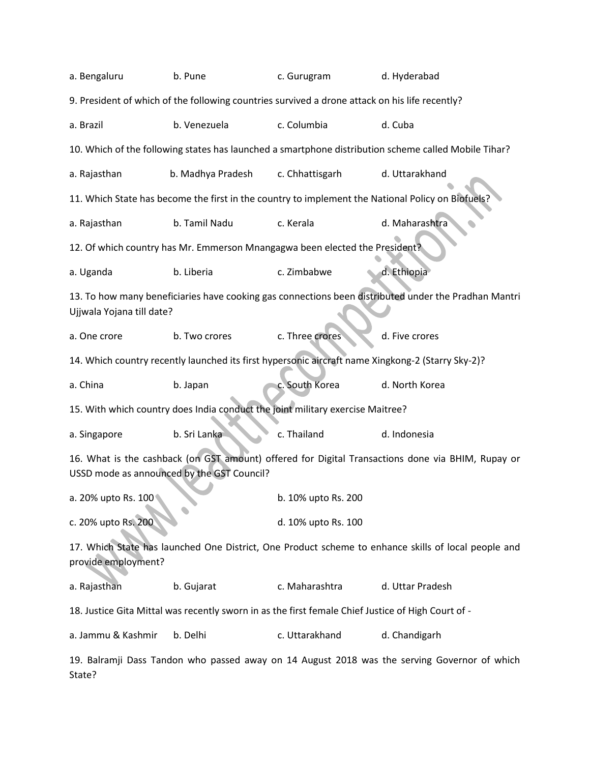| a. Bengaluru                                                                                                                                    | b. Pune                                                                                              | c. Gurugram                                                                 | d. Hyderabad                                                                                      |  |  |  |  |
|-------------------------------------------------------------------------------------------------------------------------------------------------|------------------------------------------------------------------------------------------------------|-----------------------------------------------------------------------------|---------------------------------------------------------------------------------------------------|--|--|--|--|
| 9. President of which of the following countries survived a drone attack on his life recently?                                                  |                                                                                                      |                                                                             |                                                                                                   |  |  |  |  |
| a. Brazil                                                                                                                                       | b. Venezuela                                                                                         | c. Columbia                                                                 | d. Cuba                                                                                           |  |  |  |  |
|                                                                                                                                                 | 10. Which of the following states has launched a smartphone distribution scheme called Mobile Tihar? |                                                                             |                                                                                                   |  |  |  |  |
| a. Rajasthan                                                                                                                                    | b. Madhya Pradesh                                                                                    | c. Chhattisgarh                                                             | d. Uttarakhand                                                                                    |  |  |  |  |
|                                                                                                                                                 |                                                                                                      |                                                                             | 11. Which State has become the first in the country to implement the National Policy on Biofuels? |  |  |  |  |
| a. Rajasthan                                                                                                                                    | b. Tamil Nadu                                                                                        | c. Kerala                                                                   | d. Maharashtra                                                                                    |  |  |  |  |
|                                                                                                                                                 |                                                                                                      | 12. Of which country has Mr. Emmerson Mnangagwa been elected the President? |                                                                                                   |  |  |  |  |
| a. Uganda                                                                                                                                       | b. Liberia                                                                                           | c. Zimbabwe                                                                 | d. Ethiopia                                                                                       |  |  |  |  |
| 13. To how many beneficiaries have cooking gas connections been distributed under the Pradhan Mantri<br>Ujjwala Yojana till date?               |                                                                                                      |                                                                             |                                                                                                   |  |  |  |  |
| a. One crore                                                                                                                                    | b. Two crores                                                                                        | c. Three crores                                                             | d. Five crores                                                                                    |  |  |  |  |
|                                                                                                                                                 |                                                                                                      |                                                                             | 14. Which country recently launched its first hypersonic aircraft name Xingkong-2 (Starry Sky-2)? |  |  |  |  |
| a. China                                                                                                                                        | b. Japan                                                                                             | c. South Korea                                                              | d. North Korea                                                                                    |  |  |  |  |
| 15. With which country does India conduct the joint military exercise Maitree?                                                                  |                                                                                                      |                                                                             |                                                                                                   |  |  |  |  |
| a. Singapore                                                                                                                                    | b. Sri Lanka                                                                                         | c. Thailand                                                                 | d. Indonesia                                                                                      |  |  |  |  |
| 16. What is the cashback (on GST amount) offered for Digital Transactions done via BHIM, Rupay or<br>USSD mode as announced by the GST Council? |                                                                                                      |                                                                             |                                                                                                   |  |  |  |  |
| a. 20% upto Rs. 100                                                                                                                             |                                                                                                      | b. 10% upto Rs. 200                                                         |                                                                                                   |  |  |  |  |
| c. 20% upto Rs. 200                                                                                                                             |                                                                                                      | d. 10% upto Rs. 100                                                         |                                                                                                   |  |  |  |  |
| 17. Which State has launched One District, One Product scheme to enhance skills of local people and<br>provide employment?                      |                                                                                                      |                                                                             |                                                                                                   |  |  |  |  |
| a. Rajasthan                                                                                                                                    | b. Gujarat                                                                                           | c. Maharashtra                                                              | d. Uttar Pradesh                                                                                  |  |  |  |  |
| 18. Justice Gita Mittal was recently sworn in as the first female Chief Justice of High Court of -                                              |                                                                                                      |                                                                             |                                                                                                   |  |  |  |  |
| a. Jammu & Kashmir                                                                                                                              | b. Delhi                                                                                             | c. Uttarakhand                                                              | d. Chandigarh                                                                                     |  |  |  |  |
| 19. Balramji Dass Tandon who passed away on 14 August 2018 was the serving Governor of which<br>State?                                          |                                                                                                      |                                                                             |                                                                                                   |  |  |  |  |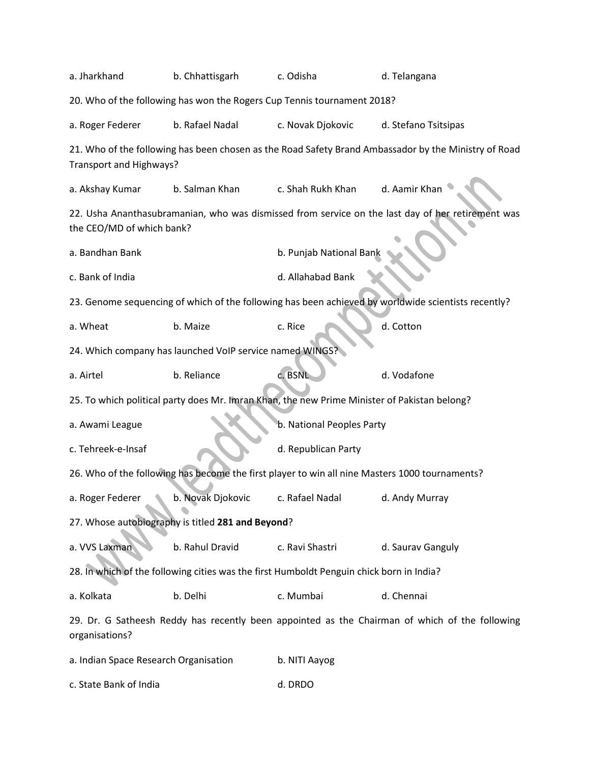| a. Jharkhand<br>b. Chhattisgarh                                                                                                 |                   | c. Odisha                 | d. Telangana                                                                                   |  |  |  |
|---------------------------------------------------------------------------------------------------------------------------------|-------------------|---------------------------|------------------------------------------------------------------------------------------------|--|--|--|
| 20. Who of the following has won the Rogers Cup Tennis tournament 2018?                                                         |                   |                           |                                                                                                |  |  |  |
| a. Roger Federer                                                                                                                | b. Rafael Nadal   | c. Novak Djokovic         | d. Stefano Tsitsipas                                                                           |  |  |  |
| 21. Who of the following has been chosen as the Road Safety Brand Ambassador by the Ministry of Road<br>Transport and Highways? |                   |                           |                                                                                                |  |  |  |
| a. Akshay Kumar                                                                                                                 | b. Salman Khan    | c. Shah Rukh Khan         | d. Aamir Khan                                                                                  |  |  |  |
| 22. Usha Ananthasubramanian, who was dismissed from service on the last day of her retirement was<br>the CEO/MD of which bank?  |                   |                           |                                                                                                |  |  |  |
| a. Bandhan Bank                                                                                                                 |                   | b. Punjab National Bank   |                                                                                                |  |  |  |
| c. Bank of India                                                                                                                |                   | d. Allahabad Bank         |                                                                                                |  |  |  |
| 23. Genome sequencing of which of the following has been achieved by worldwide scientists recently?                             |                   |                           |                                                                                                |  |  |  |
| a. Wheat                                                                                                                        | b. Maize          | c. Rice                   | d. Cotton                                                                                      |  |  |  |
| 24. Which company has launched VoIP service named WINGS?                                                                        |                   |                           |                                                                                                |  |  |  |
| a. Airtel                                                                                                                       | b. Reliance       | c. BSNL                   | d. Vodafone                                                                                    |  |  |  |
| 25. To which political party does Mr. Imran Khan, the new Prime Minister of Pakistan belong?                                    |                   |                           |                                                                                                |  |  |  |
| a. Awami League                                                                                                                 |                   | b. National Peoples Party |                                                                                                |  |  |  |
| c. Tehreek-e-Insaf                                                                                                              |                   | d. Republican Party       |                                                                                                |  |  |  |
| 26. Who of the following has become the first player to win all nine Masters 1000 tournaments?                                  |                   |                           |                                                                                                |  |  |  |
| a. Roger Federer                                                                                                                | b. Novak Djokovic | c. Rafael Nadal           | d. Andy Murray                                                                                 |  |  |  |
| 27. Whose autobiography is titled 281 and Beyond?                                                                               |                   |                           |                                                                                                |  |  |  |
| a. VVS Laxman                                                                                                                   | b. Rahul Dravid   | c. Ravi Shastri           | d. Saurav Ganguly                                                                              |  |  |  |
| 28. In which of the following cities was the first Humboldt Penguin chick born in India?                                        |                   |                           |                                                                                                |  |  |  |
| a. Kolkata                                                                                                                      | b. Delhi          | c. Mumbai                 | d. Chennai                                                                                     |  |  |  |
| organisations?                                                                                                                  |                   |                           | 29. Dr. G Satheesh Reddy has recently been appointed as the Chairman of which of the following |  |  |  |
| a. Indian Space Research Organisation                                                                                           |                   | b. NITI Aayog             |                                                                                                |  |  |  |

c. State Bank of India d. DRDO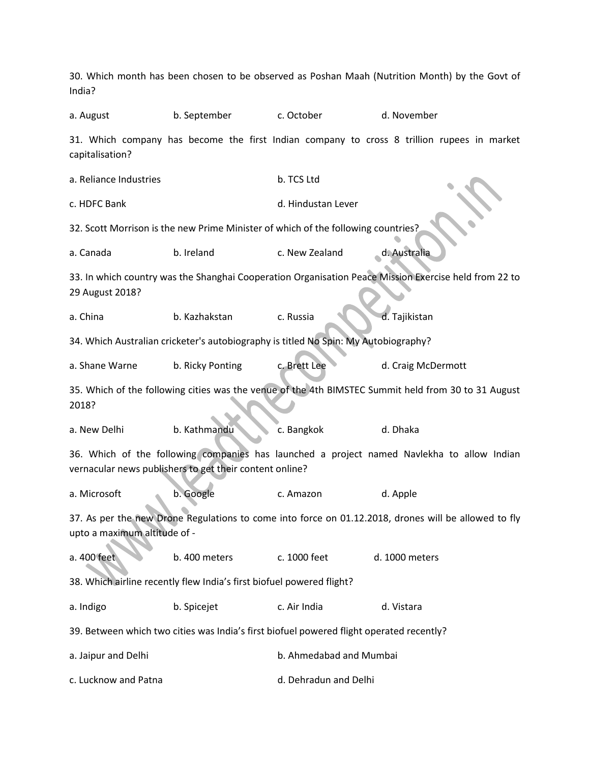30. Which month has been chosen to be observed as Poshan Maah (Nutrition Month) by the Govt of India? a. August b. September c. October d. November 31. Which company has become the first Indian company to cross 8 trillion rupees in market capitalisation? a. Reliance Industries b. TCS Ltd c. HDFC Bank d. Hindustan Lever 32. Scott Morrison is the new Prime Minister of which of the following countries? a. Canada b. Ireland c. New Zealand d. Australia 33. In which country was the Shanghai Cooperation Organisation Peace Mission Exercise held from 22 to 29 August 2018? a. China b. Kazhakstan c. Russia d. Tajikistan 34. Which Australian cricketer's autobiography is titled No Spin: My Autobiography? a. Shane Warne b. Ricky Ponting c. Brett Lee d. Craig McDermott 35. Which of the following cities was the venue of the 4th BIMSTEC Summit held from 30 to 31 August 2018? a. New Delhi b. Kathmandu c. Bangkok d. Dhaka 36. Which of the following companies has launched a project named Navlekha to allow Indian vernacular news publishers to get their content online? a. Microsoft b. Google c. Amazon d. Apple 37. As per the new Drone Regulations to come into force on 01.12.2018, drones will be allowed to fly upto a maximum altitude of a. 400 feet b. 400 meters c. 1000 feet d. 1000 meters 38. Which airline recently flew India's first biofuel powered flight? a. Indigo b. Spicejet c. Air India d. Vistara 39. Between which two cities was India's first biofuel powered flight operated recently? a. Jaipur and Delhi b. Ahmedabad and Mumbai c. Lucknow and Patna d. Dehradun and Delhi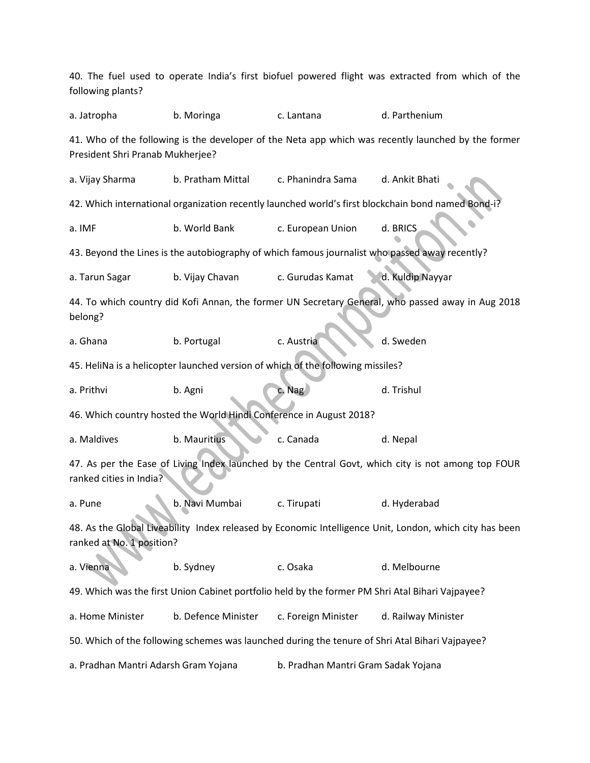40. The fuel used to operate India's first biofuel powered flight was extracted from which of the following plants? a. Jatropha b. Moringa c. Lantana d. Parthenium 41. Who of the following is the developer of the Neta app which was recently launched by the former President Shri Pranab Mukherjee? a. Vijay Sharma b. Pratham Mittal c. Phanindra Sama d. Ankit Bhati 42. Which international organization recently launched world's first blockchain bond named Bond-i? a. IMF b. World Bank c. European Union d. BRICS 43. Beyond the Lines is the autobiography of which famous journalist who passed away recently? a. Tarun Sagar b. Vijay Chavan c. Gurudas Kamat d. Kuldip Nayyar 44. To which country did Kofi Annan, the former UN Secretary General, who passed away in Aug 2018 belong? a. Ghana b. Portugal c. Austria d. Sweden 45. HeliNa is a helicopter launched version of which of the following missiles? a. Prithvi b. Agni c. Nag d. Trishul 46. Which country hosted the World Hindi Conference in August 2018? a. Maldives b. Mauritius c. Canada d. Nepal 47. As per the Ease of Living Index launched by the Central Govt, which city is not among top FOUR ranked cities in India? a. Pune b. Navi Mumbai c. Tirupati d. Hyderabad 48. As the Global Liveability Index released by Economic Intelligence Unit, London, which city has been ranked at No. 1 position? a. Vienna b. Sydney c. Osaka d. Melbourne 49. Which was the first Union Cabinet portfolio held by the former PM Shri Atal Bihari Vajpayee? a. Home Minister b. Defence Minister c. Foreign Minister d. Railway Minister 50. Which of the following schemes was launched during the tenure of Shri Atal Bihari Vajpayee? a. Pradhan Mantri Adarsh Gram Yojana b. Pradhan Mantri Gram Sadak Yojana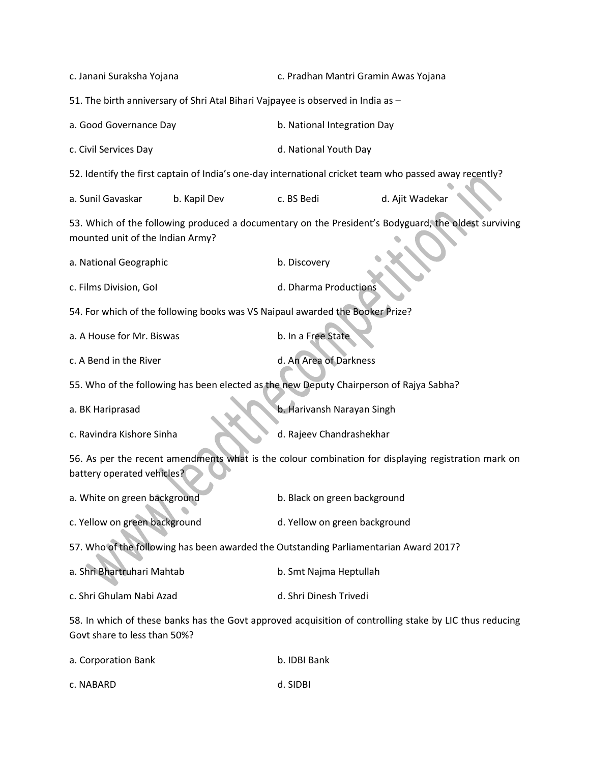| c. Janani Suraksha Yojana                                                                                                                | c. Pradhan Mantri Gramin Awas Yojana                                                                   |                 |  |  |
|------------------------------------------------------------------------------------------------------------------------------------------|--------------------------------------------------------------------------------------------------------|-----------------|--|--|
| 51. The birth anniversary of Shri Atal Bihari Vajpayee is observed in India as -                                                         |                                                                                                        |                 |  |  |
| a. Good Governance Day                                                                                                                   | b. National Integration Day                                                                            |                 |  |  |
| c. Civil Services Day                                                                                                                    | d. National Youth Day                                                                                  |                 |  |  |
|                                                                                                                                          | 52. Identify the first captain of India's one-day international cricket team who passed away recently? |                 |  |  |
| a. Sunil Gavaskar<br>b. Kapil Dev                                                                                                        | c. BS Bedi                                                                                             | d. Ajit Wadekar |  |  |
| 53. Which of the following produced a documentary on the President's Bodyguard, the oldest surviving<br>mounted unit of the Indian Army? |                                                                                                        |                 |  |  |
| a. National Geographic                                                                                                                   | b. Discovery                                                                                           |                 |  |  |
| c. Films Division, Gol                                                                                                                   | d. Dharma Productions                                                                                  |                 |  |  |
| 54. For which of the following books was VS Naipaul awarded the Booker Prize?                                                            |                                                                                                        |                 |  |  |
| a. A House for Mr. Biswas                                                                                                                | b. In a Free State                                                                                     |                 |  |  |
| c. A Bend in the River                                                                                                                   | d. An Area of Darkness                                                                                 |                 |  |  |
| 55. Who of the following has been elected as the new Deputy Chairperson of Rajya Sabha?                                                  |                                                                                                        |                 |  |  |
| a. BK Hariprasad                                                                                                                         | b. Harivansh Narayan Singh                                                                             |                 |  |  |
| c. Ravindra Kishore Sinha                                                                                                                | d. Rajeev Chandrashekhar                                                                               |                 |  |  |
| 56. As per the recent amendments what is the colour combination for displaying registration mark on<br>battery operated vehicles?        |                                                                                                        |                 |  |  |
| a. White on green background                                                                                                             | b. Black on green background                                                                           |                 |  |  |
| c. Yellow on green background                                                                                                            | d. Yellow on green background                                                                          |                 |  |  |
| 57. Who of the following has been awarded the Outstanding Parliamentarian Award 2017?                                                    |                                                                                                        |                 |  |  |
| a. Shri Bhartruhari Mahtab                                                                                                               | b. Smt Najma Heptullah                                                                                 |                 |  |  |
| c. Shri Ghulam Nabi Azad                                                                                                                 | d. Shri Dinesh Trivedi                                                                                 |                 |  |  |
| 58. In which of these banks has the Govt approved acquisition of controlling stake by LIC thus reducing<br>Govt share to less than 50%?  |                                                                                                        |                 |  |  |
| a. Corporation Bank                                                                                                                      | b. IDBI Bank                                                                                           |                 |  |  |

| a. Corporation Bank | b. IDBI Bank |
|---------------------|--------------|
| c. NABARD           | d. SIDBI     |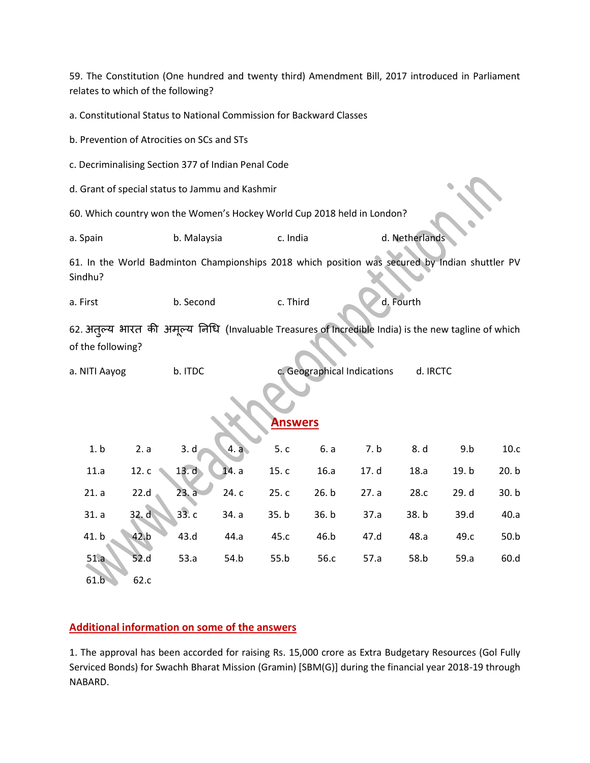59. The Constitution (One hundred and twenty third) Amendment Bill, 2017 introduced in Parliament relates to which of the following?

a. Constitutional Status to National Commission for Backward Classes

b. Prevention of Atrocities on SCs and STs

c. Decriminalising Section 377 of Indian Penal Code

d. Grant of special status to Jammu and Kashmir

60. Which country won the Women's Hockey World Cup 2018 held in London?

a. Spain b. Malaysia c. India d. Netherlands

61. In the World Badminton Championships 2018 which position was secured by Indian shuttler PV Sindhu?

a. First b. Second c. Third d. Fourth

62. अतूल्य भारत की अमूल्य निधि (Invaluable Treasures of Incredible India) is the new tagline of which of the following?

a. NITI Aayog b. ITDC c. Geographical Indications d. IRCTC

## **Answers**

|                   |      |  | 1. b 2. a 3. d 4. a 5. c 6. a 7. b 8. d 9. b          |      |       | 10.c  |
|-------------------|------|--|-------------------------------------------------------|------|-------|-------|
|                   |      |  | 11.a 12.c 13.d 14.a 15.c 16.a 17.d                    | 18.a | 19. b | 20.b  |
|                   |      |  | 21. a 22. d 23. a 24. c 25. c 26. b 27. a 28. c 29. d |      |       | 30. b |
|                   |      |  | 31. a 32. d 33. c 34. a 35. b 36. b 37. a             | 38.b | 39.d  | 40.a  |
| 41. b 42. b       |      |  | 43.d 44.a 45.c 46.b 47.d 48.a                         |      | 49.c  | 50.b  |
| 51.a              | 52.d |  | 53.a 54.b 55.b 56.c 57.a                              | 58.b | 59.a  | 60.d  |
| $61.\overline{b}$ | 62.c |  |                                                       |      |       |       |

## **Additional information on some of the answers**

1. The approval has been accorded for raising Rs. 15,000 crore as Extra Budgetary Resources (Gol Fully Serviced Bonds) for Swachh Bharat Mission (Gramin) [SBM(G)] during the financial year 2018-19 through NABARD.